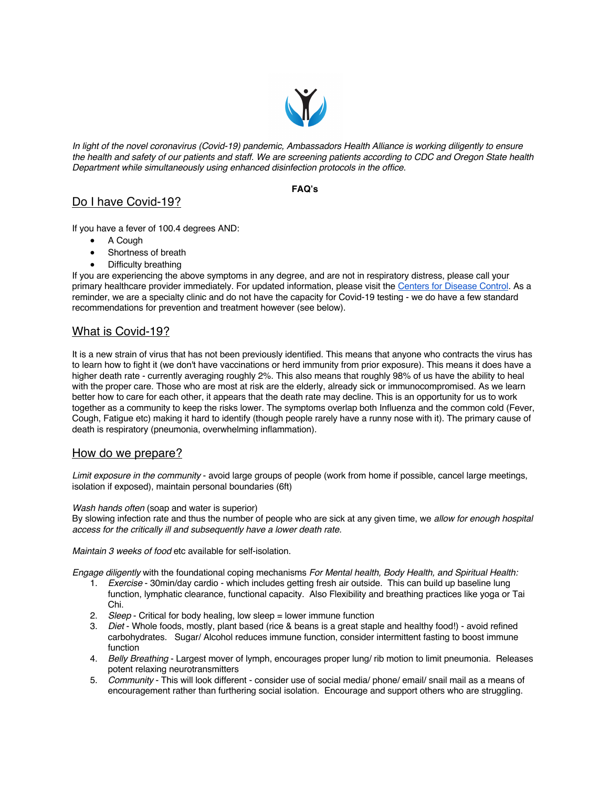

*In light of the novel coronavirus (Covid-19) pandemic, Ambassadors Health Alliance is working diligently to ensure the health and safety of our patients and staff. We are screening patients according to CDC and Oregon State health Department while simultaneously using enhanced disinfection protocols in the office.*

#### **FAQ's**

# Do I have Covid-19?

If you have a fever of 100.4 degrees AND:

- A Cough
- Shortness of breath
- Difficulty breathing

If you are experiencing the above symptoms in any degree, and are not in respiratory distress, please call your primary healthcare provider immediately. For updated information, please visit the Centers for Disease Control. As a reminder, we are a specialty clinic and do not have the capacity for Covid-19 testing - we do have a few standard recommendations for prevention and treatment however (see below).

# What is Covid-19?

It is a new strain of virus that has not been previously identified. This means that anyone who contracts the virus has to learn how to fight it (we don't have vaccinations or herd immunity from prior exposure). This means it does have a higher death rate - currently averaging roughly 2%. This also means that roughly 98% of us have the ability to heal with the proper care. Those who are most at risk are the elderly, already sick or immunocompromised. As we learn better how to care for each other, it appears that the death rate may decline. This is an opportunity for us to work together as a community to keep the risks lower. The symptoms overlap both Influenza and the common cold (Fever, Cough, Fatigue etc) making it hard to identify (though people rarely have a runny nose with it). The primary cause of death is respiratory (pneumonia, overwhelming inflammation).

### How do we prepare?

*Limit exposure in the community* - avoid large groups of people (work from home if possible, cancel large meetings, isolation if exposed), maintain personal boundaries (6ft)

*Wash hands often* (soap and water is superior)

By slowing infection rate and thus the number of people who are sick at any given time, we *allow for enough hospital access for the critically ill and subsequently have a lower death rate.*

*Maintain 3 weeks of food* etc available for self-isolation.

*Engage diligently* with the foundational coping mechanisms *For Mental health, Body Health, and Spiritual Health:*

- 1. *Exercise* 30min/day cardio which includes getting fresh air outside. This can build up baseline lung function, lymphatic clearance, functional capacity. Also Flexibility and breathing practices like yoga or Tai Chi.
- 2. *Sleep* Critical for body healing, low sleep = lower immune function
- 3. *Diet* Whole foods, mostly, plant based (rice & beans is a great staple and healthy food!) avoid refined carbohydrates. Sugar/ Alcohol reduces immune function, consider intermittent fasting to boost immune function
- 4. *Belly Breathing* Largest mover of lymph, encourages proper lung/ rib motion to limit pneumonia. Releases potent relaxing neurotransmitters
- 5. *Community* This will look different consider use of social media/ phone/ email/ snail mail as a means of encouragement rather than furthering social isolation. Encourage and support others who are struggling.